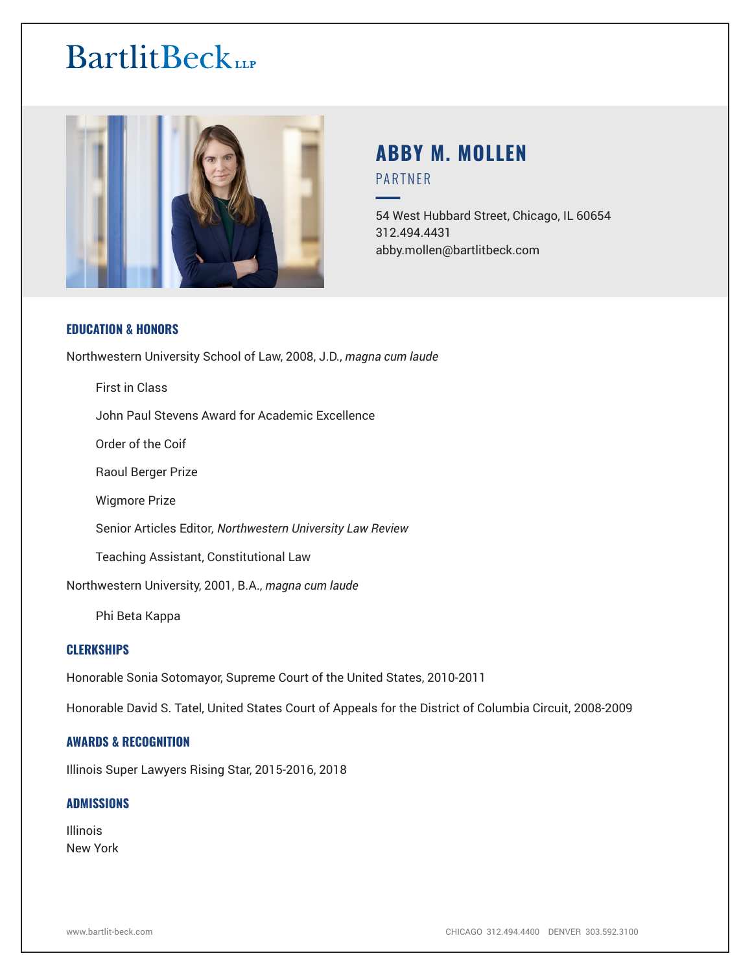# **BartlitBeck**



# **ABBY M. MOLLEN** PARTNER

━54 West Hubbard Street, Chicago, IL 60654 312.494.4431 abby.mollen@bartlitbeck.com

# **EDUCATION & HONORS**

Northwestern University School of Law, 2008, J.D., *magna cum laude*

First in Class

John Paul Stevens Award for Academic Excellence

Order of the Coif

Raoul Berger Prize

Wigmore Prize

Senior Articles Editor*, Northwestern University Law Review*

Teaching Assistant, Constitutional Law

Northwestern University, 2001, B.A., *magna cum laude*

Phi Beta Kappa

# **CLERKSHIPS**

Honorable Sonia Sotomayor, Supreme Court of the United States, 2010-2011

Honorable David S. Tatel, United States Court of Appeals for the District of Columbia Circuit, 2008-2009

# **AWARDS & RECOGNITION**

Illinois Super Lawyers Rising Star, 2015-2016, 2018

#### **ADMISSIONS**

Illinois New York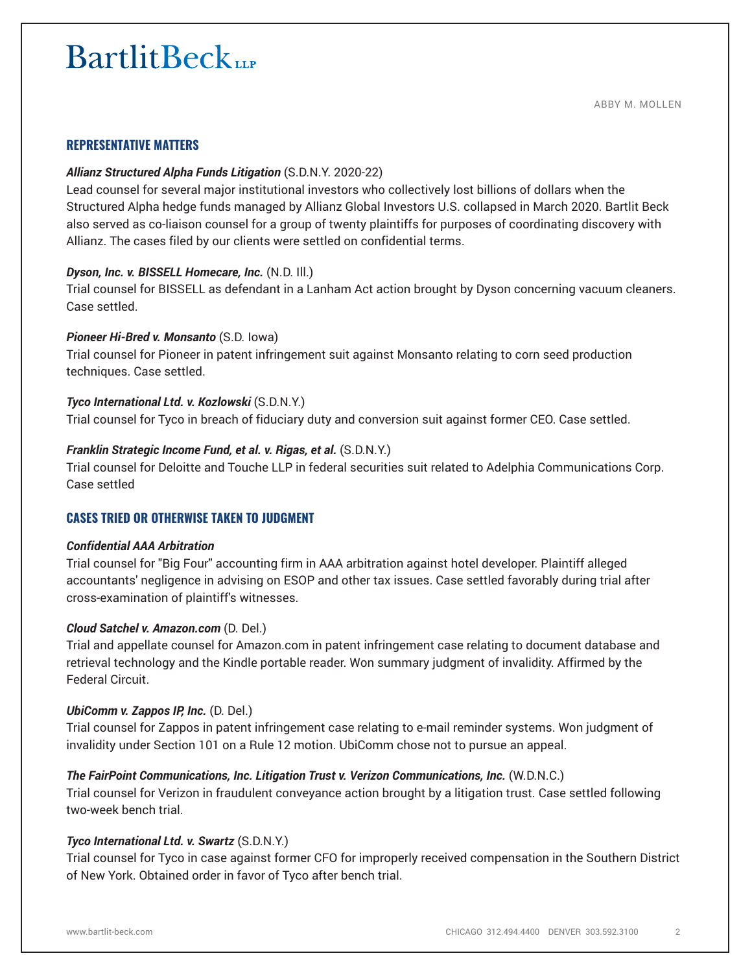# **BartlitBeck**

# **REPRESENTATIVE MATTERS**

#### *Allianz Structured Alpha Funds Litigation* (S.D.N.Y. 2020-22)

Lead counsel for several major institutional investors who collectively lost billions of dollars when the Structured Alpha hedge funds managed by Allianz Global Investors U.S. collapsed in March 2020. Bartlit Beck also served as co-liaison counsel for a group of twenty plaintiffs for purposes of coordinating discovery with Allianz. The cases filed by our clients were settled on confidential terms.

#### *Dyson, Inc. v. BISSELL Homecare, Inc.* (N.D. Ill.)

Trial counsel for BISSELL as defendant in a Lanham Act action brought by Dyson concerning vacuum cleaners. Case settled.

#### *Pioneer Hi-Bred v. Monsanto* (S.D. Iowa)

Trial counsel for Pioneer in patent infringement suit against Monsanto relating to corn seed production techniques. Case settled.

#### *Tyco International Ltd. v. Kozlowski* (S.D.N.Y.)

Trial counsel for Tyco in breach of fiduciary duty and conversion suit against former CEO. Case settled.

#### *Franklin Strategic Income Fund, et al. v. Rigas, et al.* (S.D.N.Y.)

Trial counsel for Deloitte and Touche LLP in federal securities suit related to Adelphia Communications Corp. Case settled

# **CASES TRIED OR OTHERWISE TAKEN TO JUDGMENT**

#### *Confidential AAA Arbitration*

Trial counsel for "Big Four" accounting firm in AAA arbitration against hotel developer. Plaintiff alleged accountants' negligence in advising on ESOP and other tax issues. Case settled favorably during trial after cross-examination of plaintiff's witnesses.

#### *Cloud Satchel v. Amazon.com* (D. Del.)

Trial and appellate counsel for Amazon.com in patent infringement case relating to document database and retrieval technology and the Kindle portable reader. Won summary judgment of invalidity. Affirmed by the Federal Circuit.

#### *UbiComm v. Zappos IP, Inc.* (D. Del.)

Trial counsel for Zappos in patent infringement case relating to e-mail reminder systems. Won judgment of invalidity under Section 101 on a Rule 12 motion. UbiComm chose not to pursue an appeal.

# *The FairPoint Communications, Inc. Litigation Trust v. Verizon Communications, Inc.* (W.D.N.C.)

Trial counsel for Verizon in fraudulent conveyance action brought by a litigation trust. Case settled following two-week bench trial.

# *Tyco International Ltd. v. Swartz* (S.D.N.Y.)

Trial counsel for Tyco in case against former CFO for improperly received compensation in the Southern District of New York. Obtained order in favor of Tyco after bench trial.